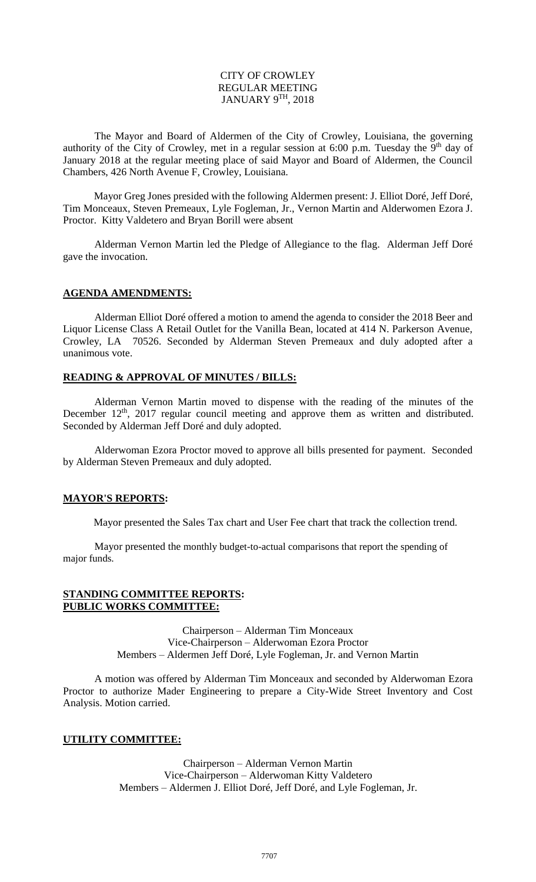### CITY OF CROWLEY REGULAR MEETING JANUARY 9 $^{\rm TH}$ , 2018

The Mayor and Board of Aldermen of the City of Crowley, Louisiana, the governing authority of the City of Crowley, met in a regular session at 6:00 p.m. Tuesday the  $9<sup>th</sup>$  day of January 2018 at the regular meeting place of said Mayor and Board of Aldermen, the Council Chambers, 426 North Avenue F, Crowley, Louisiana.

Mayor Greg Jones presided with the following Aldermen present: J. Elliot Doré, Jeff Doré, Tim Monceaux, Steven Premeaux, Lyle Fogleman, Jr., Vernon Martin and Alderwomen Ezora J. Proctor. Kitty Valdetero and Bryan Borill were absent

Alderman Vernon Martin led the Pledge of Allegiance to the flag. Alderman Jeff Doré gave the invocation.

#### **AGENDA AMENDMENTS:**

Alderman Elliot Doré offered a motion to amend the agenda to consider the 2018 Beer and Liquor License Class A Retail Outlet for the Vanilla Bean, located at 414 N. Parkerson Avenue, Crowley, LA 70526. Seconded by Alderman Steven Premeaux and duly adopted after a unanimous vote.

### **READING & APPROVAL OF MINUTES / BILLS:**

Alderman Vernon Martin moved to dispense with the reading of the minutes of the December  $12<sup>th</sup>$ ,  $2017$  regular council meeting and approve them as written and distributed. Seconded by Alderman Jeff Doré and duly adopted.

Alderwoman Ezora Proctor moved to approve all bills presented for payment. Seconded by Alderman Steven Premeaux and duly adopted.

### **MAYOR'S REPORTS:**

Mayor presented the Sales Tax chart and User Fee chart that track the collection trend.

Mayor presented the monthly budget-to-actual comparisons that report the spending of major funds.

#### **STANDING COMMITTEE REPORTS: PUBLIC WORKS COMMITTEE:**

Chairperson – Alderman Tim Monceaux Vice-Chairperson – Alderwoman Ezora Proctor Members – Aldermen Jeff Doré, Lyle Fogleman, Jr. and Vernon Martin

A motion was offered by Alderman Tim Monceaux and seconded by Alderwoman Ezora Proctor to authorize Mader Engineering to prepare a City-Wide Street Inventory and Cost Analysis. Motion carried.

### **UTILITY COMMITTEE:**

Chairperson – Alderman Vernon Martin Vice-Chairperson – Alderwoman Kitty Valdetero Members – Aldermen J. Elliot Doré, Jeff Doré, and Lyle Fogleman, Jr.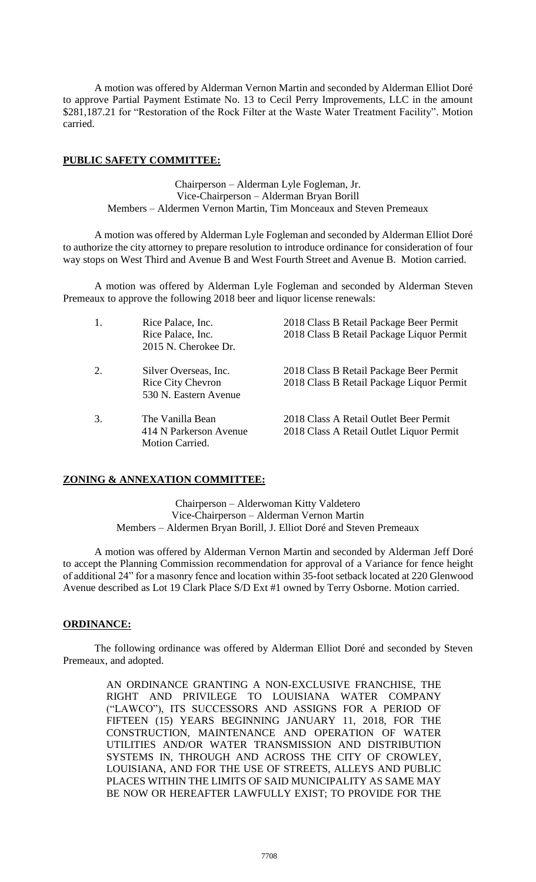A motion was offered by Alderman Vernon Martin and seconded by Alderman Elliot Doré to approve Partial Payment Estimate No. 13 to Cecil Perry Improvements, LLC in the amount \$281,187.21 for "Restoration of the Rock Filter at the Waste Water Treatment Facility". Motion carried.

### **PUBLIC SAFETY COMMITTEE:**

Chairperson – Alderman Lyle Fogleman, Jr. Vice-Chairperson – Alderman Bryan Borill Members – Aldermen Vernon Martin, Tim Monceaux and Steven Premeaux

A motion was offered by Alderman Lyle Fogleman and seconded by Alderman Elliot Doré to authorize the city attorney to prepare resolution to introduce ordinance for consideration of four way stops on West Third and Avenue B and West Fourth Street and Avenue B. Motion carried.

A motion was offered by Alderman Lyle Fogleman and seconded by Alderman Steven Premeaux to approve the following 2018 beer and liquor license renewals:

| 1. | Rice Palace, Inc.<br>Rice Palace, Inc.<br>2015 N. Cherokee Dr.             | 2018 Class B Retail Package Beer Permit<br>2018 Class B Retail Package Liquor Permit |
|----|----------------------------------------------------------------------------|--------------------------------------------------------------------------------------|
| 2. | Silver Overseas, Inc.<br><b>Rice City Chevron</b><br>530 N. Eastern Avenue | 2018 Class B Retail Package Beer Permit<br>2018 Class B Retail Package Liquor Permit |
| 3. | The Vanilla Bean<br>414 N Parkerson Avenue<br>Motion Carried.              | 2018 Class A Retail Outlet Beer Permit<br>2018 Class A Retail Outlet Liquor Permit   |

# **ZONING & ANNEXATION COMMITTEE:**

Chairperson – Alderwoman Kitty Valdetero Vice-Chairperson – Alderman Vernon Martin Members – Aldermen Bryan Borill, J. Elliot Doré and Steven Premeaux

A motion was offered by Alderman Vernon Martin and seconded by Alderman Jeff Doré to accept the Planning Commission recommendation for approval of a Variance for fence height of additional 24" for a masonry fence and location within 35-foot setback located at 220 Glenwood Avenue described as Lot 19 Clark Place S/D Ext #1 owned by Terry Osborne. Motion carried.

### **ORDINANCE:**

The following ordinance was offered by Alderman Elliot Doré and seconded by Steven Premeaux, and adopted.

> AN ORDINANCE GRANTING A NON-EXCLUSIVE FRANCHISE, THE RIGHT AND PRIVILEGE TO LOUISIANA WATER COMPANY ("LAWCO"), ITS SUCCESSORS AND ASSIGNS FOR A PERIOD OF FIFTEEN (15) YEARS BEGINNING JANUARY 11, 2018, FOR THE CONSTRUCTION, MAINTENANCE AND OPERATION OF WATER UTILITIES AND/OR WATER TRANSMISSION AND DISTRIBUTION SYSTEMS IN, THROUGH AND ACROSS THE CITY OF CROWLEY, LOUISIANA, AND FOR THE USE OF STREETS, ALLEYS AND PUBLIC PLACES WITHIN THE LIMITS OF SAID MUNICIPALITY AS SAME MAY BE NOW OR HEREAFTER LAWFULLY EXIST; TO PROVIDE FOR THE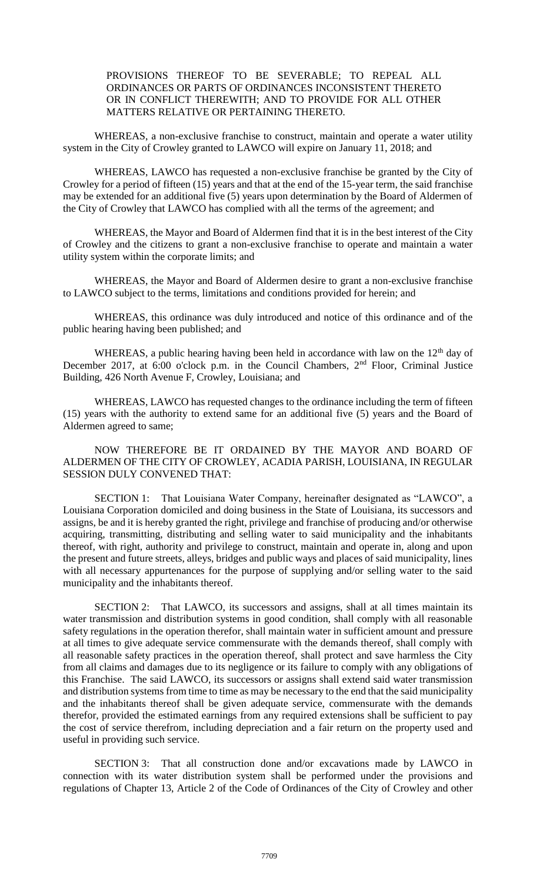## PROVISIONS THEREOF TO BE SEVERABLE; TO REPEAL ALL ORDINANCES OR PARTS OF ORDINANCES INCONSISTENT THERETO OR IN CONFLICT THEREWITH; AND TO PROVIDE FOR ALL OTHER MATTERS RELATIVE OR PERTAINING THERETO.

WHEREAS, a non-exclusive franchise to construct, maintain and operate a water utility system in the City of Crowley granted to LAWCO will expire on January 11, 2018; and

WHEREAS, LAWCO has requested a non-exclusive franchise be granted by the City of Crowley for a period of fifteen (15) years and that at the end of the 15-year term, the said franchise may be extended for an additional five (5) years upon determination by the Board of Aldermen of the City of Crowley that LAWCO has complied with all the terms of the agreement; and

WHEREAS, the Mayor and Board of Aldermen find that it is in the best interest of the City of Crowley and the citizens to grant a non-exclusive franchise to operate and maintain a water utility system within the corporate limits; and

WHEREAS, the Mayor and Board of Aldermen desire to grant a non-exclusive franchise to LAWCO subject to the terms, limitations and conditions provided for herein; and

WHEREAS, this ordinance was duly introduced and notice of this ordinance and of the public hearing having been published; and

WHEREAS, a public hearing having been held in accordance with law on the  $12<sup>th</sup>$  day of December 2017, at 6:00 o'clock p.m. in the Council Chambers, 2nd Floor, Criminal Justice Building, 426 North Avenue F, Crowley, Louisiana; and

WHEREAS, LAWCO has requested changes to the ordinance including the term of fifteen (15) years with the authority to extend same for an additional five (5) years and the Board of Aldermen agreed to same;

NOW THEREFORE BE IT ORDAINED BY THE MAYOR AND BOARD OF ALDERMEN OF THE CITY OF CROWLEY, ACADIA PARISH, LOUISIANA, IN REGULAR SESSION DULY CONVENED THAT:

SECTION 1: That Louisiana Water Company, hereinafter designated as "LAWCO", a Louisiana Corporation domiciled and doing business in the State of Louisiana, its successors and assigns, be and it is hereby granted the right, privilege and franchise of producing and/or otherwise acquiring, transmitting, distributing and selling water to said municipality and the inhabitants thereof, with right, authority and privilege to construct, maintain and operate in, along and upon the present and future streets, alleys, bridges and public ways and places of said municipality, lines with all necessary appurtenances for the purpose of supplying and/or selling water to the said municipality and the inhabitants thereof.

SECTION 2: That LAWCO, its successors and assigns, shall at all times maintain its water transmission and distribution systems in good condition, shall comply with all reasonable safety regulations in the operation therefor, shall maintain water in sufficient amount and pressure at all times to give adequate service commensurate with the demands thereof, shall comply with all reasonable safety practices in the operation thereof, shall protect and save harmless the City from all claims and damages due to its negligence or its failure to comply with any obligations of this Franchise. The said LAWCO, its successors or assigns shall extend said water transmission and distribution systems from time to time as may be necessary to the end that the said municipality and the inhabitants thereof shall be given adequate service, commensurate with the demands therefor, provided the estimated earnings from any required extensions shall be sufficient to pay the cost of service therefrom, including depreciation and a fair return on the property used and useful in providing such service.

SECTION 3: That all construction done and/or excavations made by LAWCO in connection with its water distribution system shall be performed under the provisions and regulations of Chapter 13, Article 2 of the Code of Ordinances of the City of Crowley and other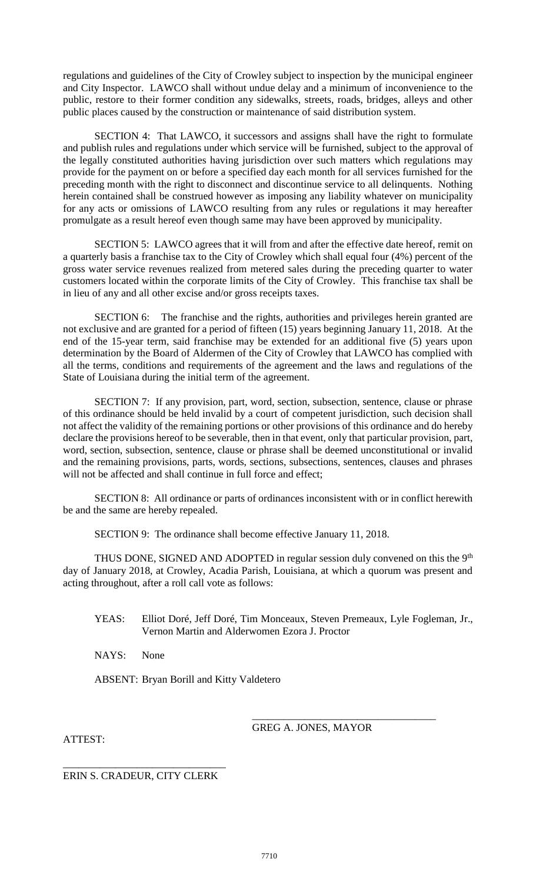regulations and guidelines of the City of Crowley subject to inspection by the municipal engineer and City Inspector. LAWCO shall without undue delay and a minimum of inconvenience to the public, restore to their former condition any sidewalks, streets, roads, bridges, alleys and other public places caused by the construction or maintenance of said distribution system.

SECTION 4: That LAWCO, it successors and assigns shall have the right to formulate and publish rules and regulations under which service will be furnished, subject to the approval of the legally constituted authorities having jurisdiction over such matters which regulations may provide for the payment on or before a specified day each month for all services furnished for the preceding month with the right to disconnect and discontinue service to all delinquents. Nothing herein contained shall be construed however as imposing any liability whatever on municipality for any acts or omissions of LAWCO resulting from any rules or regulations it may hereafter promulgate as a result hereof even though same may have been approved by municipality.

SECTION 5: LAWCO agrees that it will from and after the effective date hereof, remit on a quarterly basis a franchise tax to the City of Crowley which shall equal four (4%) percent of the gross water service revenues realized from metered sales during the preceding quarter to water customers located within the corporate limits of the City of Crowley. This franchise tax shall be in lieu of any and all other excise and/or gross receipts taxes.

SECTION 6: The franchise and the rights, authorities and privileges herein granted are not exclusive and are granted for a period of fifteen (15) years beginning January 11, 2018. At the end of the 15-year term, said franchise may be extended for an additional five (5) years upon determination by the Board of Aldermen of the City of Crowley that LAWCO has complied with all the terms, conditions and requirements of the agreement and the laws and regulations of the State of Louisiana during the initial term of the agreement.

SECTION 7: If any provision, part, word, section, subsection, sentence, clause or phrase of this ordinance should be held invalid by a court of competent jurisdiction, such decision shall not affect the validity of the remaining portions or other provisions of this ordinance and do hereby declare the provisions hereof to be severable, then in that event, only that particular provision, part, word, section, subsection, sentence, clause or phrase shall be deemed unconstitutional or invalid and the remaining provisions, parts, words, sections, subsections, sentences, clauses and phrases will not be affected and shall continue in full force and effect:

SECTION 8: All ordinance or parts of ordinances inconsistent with or in conflict herewith be and the same are hereby repealed.

SECTION 9: The ordinance shall become effective January 11, 2018.

THUS DONE, SIGNED AND ADOPTED in regular session duly convened on this the  $9<sup>th</sup>$ day of January 2018, at Crowley, Acadia Parish, Louisiana, at which a quorum was present and acting throughout, after a roll call vote as follows:

YEAS: Elliot Doré, Jeff Doré, Tim Monceaux, Steven Premeaux, Lyle Fogleman, Jr., Vernon Martin and Alderwomen Ezora J. Proctor

NAYS: None

ABSENT: Bryan Borill and Kitty Valdetero

\_\_\_\_\_\_\_\_\_\_\_\_\_\_\_\_\_\_\_\_\_\_\_\_\_\_\_\_\_\_\_\_\_\_\_ GREG A. JONES, MAYOR

ATTEST:

\_\_\_\_\_\_\_\_\_\_\_\_\_\_\_\_\_\_\_\_\_\_\_\_\_\_\_\_\_\_\_ ERIN S. CRADEUR, CITY CLERK